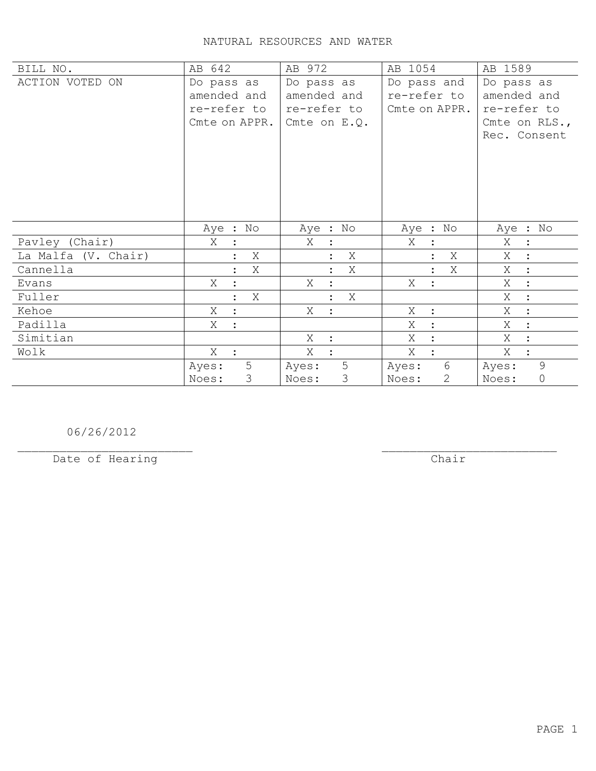| BILL NO.            | AB 642                                                    | AB 972                                                     | AB 1054                                     | AB 1589                                                                   |
|---------------------|-----------------------------------------------------------|------------------------------------------------------------|---------------------------------------------|---------------------------------------------------------------------------|
| ACTION VOTED ON     | Do pass as<br>amended and<br>re-refer to<br>Cmte on APPR. | Do pass as<br>amended and<br>re-refer to<br>Cmte on $E.Q.$ | Do pass and<br>re-refer to<br>Cmte on APPR. | Do pass as<br>amended and<br>re-refer to<br>Cmte on RLS.,<br>Rec. Consent |
|                     |                                                           |                                                            |                                             |                                                                           |
|                     | Aye : No                                                  | Aye : No                                                   | Aye : No                                    | Aye : No                                                                  |
| Pavley (Chair)      | X                                                         | X<br>$\ddot{\cdot}$                                        | X<br>$\ddot{\cdot}$                         | Χ<br>$\ddot{\phantom{1}}$ :                                               |
| La Malfa (V. Chair) | Χ                                                         | X                                                          | Χ                                           | Χ<br>$\cdot$ :                                                            |
| Cannella            | Χ<br>$\ddot{\cdot}$                                       | X<br>$\ddot{\phantom{a}}$                                  | Χ<br>$\ddot{\cdot}$                         | Χ<br>$\sim$ 1 $^{\circ}$                                                  |
| Evans               | Χ                                                         | Χ<br>$\ddot{\cdot}$                                        | X<br>$\ddot{\cdot}$                         | X<br>$\ddot{\cdot}$                                                       |
| Fuller              | Χ<br>$\ddot{\cdot}$                                       | Χ<br>$\ddot{\cdot}$                                        |                                             | Χ<br>$\ddot{\cdot}$                                                       |
| Kehoe               | X<br>$\cdot$                                              | Χ<br>$\ddot{\phantom{0}}$ :                                | Χ<br>$\ddot{\cdot}$                         | X<br>$\ddot{\cdot}$                                                       |
| Padilla             | X<br>$\ddot{\cdot}$                                       |                                                            | Χ<br>$\ddot{\cdot}$                         | X<br>$\ddot{\cdot}$                                                       |
| Simitian            |                                                           | X<br>$\therefore$                                          | X<br>$\ddot{\cdot}$                         | X<br>$\ddot{\cdot}$                                                       |
| Wolk                | $X$ :                                                     | Χ<br>$\ddot{\cdot}$                                        | X<br>$\ddot{\cdot}$                         | Χ<br>$\ddot{\cdot}$                                                       |
|                     | 5<br>Ayes:<br>3<br>Noes:                                  | 5<br>Ayes:<br>3<br>Noes:                                   | 6<br>Ayes:<br>$\overline{2}$<br>Noes:       | 9<br>Ayes:<br>$\mathbb O$<br>Noes:                                        |

06/26/2012

Date of Hearing

 $\overline{**chair**}$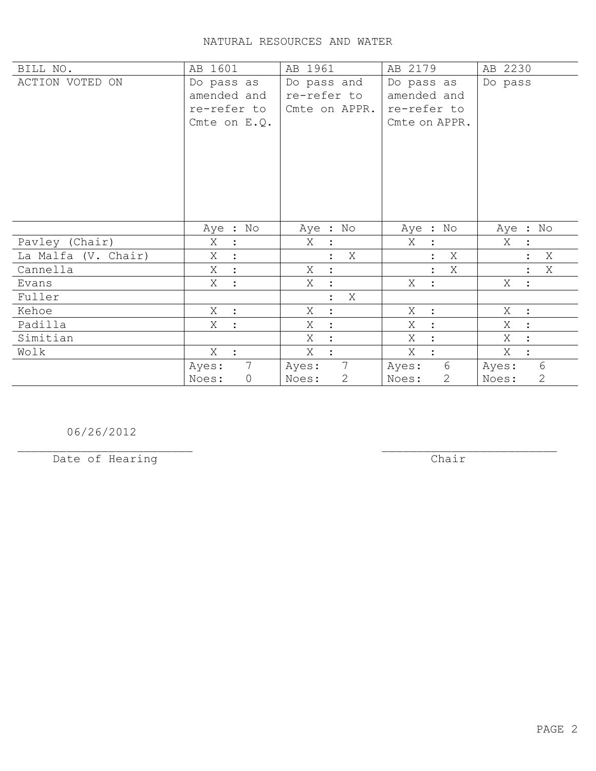| BILL NO.            | AB 1601                                                    | AB 1961                                     | AB 2179                                                   | AB 2230                 |
|---------------------|------------------------------------------------------------|---------------------------------------------|-----------------------------------------------------------|-------------------------|
| ACTION VOTED ON     | Do pass as<br>amended and<br>re-refer to<br>Cmte on $E.Q.$ | Do pass and<br>re-refer to<br>Cmte on APPR. | Do pass as<br>amended and<br>re-refer to<br>Cmte on APPR. | Do pass                 |
|                     | Aye : No                                                   | Aye : No                                    | Aye : No                                                  | Aye : No                |
| Pavley (Chair)      | Χ<br>$\ddot{\cdot}$                                        | Χ                                           | Χ<br>$\ddot{\cdot}$                                       | Χ                       |
| La Malfa (V. Chair) | Χ                                                          | X                                           | Χ                                                         | X<br>$\ddot{\cdot}$     |
| Cannella            | X<br>$\ddot{\cdot}$                                        | Χ<br>$\ddot{\cdot}$                         | Χ                                                         | Χ                       |
| Evans               | X :                                                        | Χ<br>$\ddot{\cdot}$                         | X<br>$\ddot{\cdot}$                                       | X<br>$\ddot{\cdot}$     |
| Fuller              |                                                            | X<br>$\ddot{\cdot}$                         |                                                           |                         |
| Kehoe               | $X$ :                                                      | X<br>$\ddot{\cdot}$                         | Χ<br>$\cdot$                                              | X :                     |
| Padilla             | Χ<br>$\cdot$                                               | Χ<br>$\ddot{\cdot}$                         | Χ<br>$\ddot{\cdot}$                                       | Χ<br>$\ddot{\cdot}$     |
| Simitian            |                                                            | X<br>$\ddot{\cdot}$                         | X<br>$\ddot{\cdot}$                                       | X<br>$\ddot{\cdot}$     |
| Wolk                | X                                                          | X                                           | X                                                         | X<br>$\ddot{\cdot}$     |
|                     | $7\overline{ }$<br>Ayes:                                   | $7\overline{ }$<br>Ayes:                    | 6<br>Ayes:                                                | 6<br>Ayes:              |
|                     | Noes:<br>0                                                 | $\mathbf{2}$<br>Noes:                       | $\mathbf{2}$<br>Noes:                                     | $\overline{2}$<br>Noes: |

06/26/2012

Date of Hearing

 $\overline{**chair**}$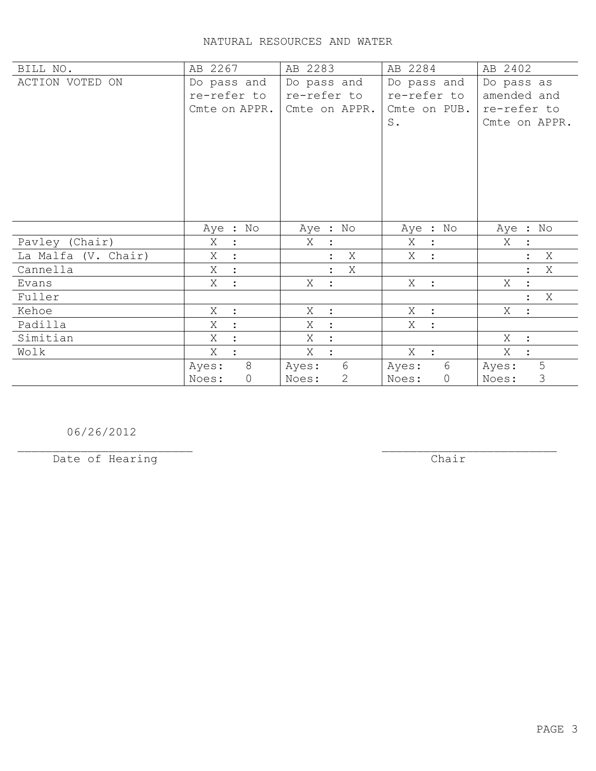| BILL NO.            | AB 2267                             | AB 2283                             | AB 2284              | AB 2402                   |
|---------------------|-------------------------------------|-------------------------------------|----------------------|---------------------------|
| ACTION VOTED ON     | Do pass and                         | Do pass and                         | Do pass and          | Do pass as                |
|                     | re-refer to                         | re-refer to                         | re-refer to          | amended and               |
|                     | Cmte on APPR.                       | Cmte on APPR.                       | Cmte on PUB.         | re-refer to               |
|                     |                                     |                                     | $S$ .                | Cmte on APPR.             |
|                     |                                     |                                     |                      |                           |
|                     |                                     |                                     |                      |                           |
|                     |                                     |                                     |                      |                           |
|                     |                                     |                                     |                      |                           |
|                     |                                     |                                     |                      |                           |
|                     |                                     |                                     |                      |                           |
|                     | Aye : No                            | Aye : No                            | Aye : No             | Aye : No                  |
| Pavley (Chair)      | Χ<br>$\langle \cdot, \cdot \rangle$ | Χ<br>$\mathbb{R}^2$                 | Χ<br>$\mathbf{L}$    | Χ                         |
| La Malfa (V. Chair) | X                                   | X<br>$\ddot{\cdot}$                 | X<br>$\ddot{\cdot}$  | X                         |
| Cannella            | X<br>$\mathbf{r}$                   | Χ<br>$\ddot{\phantom{a}}$           |                      | Χ                         |
| Evans               | X<br>$\ddot{\cdot}$                 | X :                                 | $X$ :                | X                         |
| Fuller              |                                     |                                     |                      | Χ<br>$\ddot{\phantom{a}}$ |
| Kehoe               | X<br>$\cdot$                        | X :                                 | X<br>$\mathbf{r}$    | X :                       |
| Padilla             | Χ                                   | $\mathbb{R}^2$<br>Χ                 | X<br>$\ddot{\cdot}$  |                           |
| Simitian            | Χ                                   | $X_{\mathcal{L}}$<br>$\mathbb{R}^2$ |                      | $X_{-}$<br>$\mathbf{r}$   |
| Wolk                | X                                   | X<br>$\ddot{\cdot}$                 | $X$ :                | Χ                         |
|                     | 8<br>Ayes:                          | 6<br>Ayes:                          | 6<br>Ayes:           | 5<br>Ayes:                |
|                     | $\mathbb O$<br>Noes:                | $\mathbf{2}$<br>Noes:               | $\mathbb O$<br>Noes: | $\mathcal{S}$<br>Noes:    |

06/26/2012

Date of Hearing

 $Char$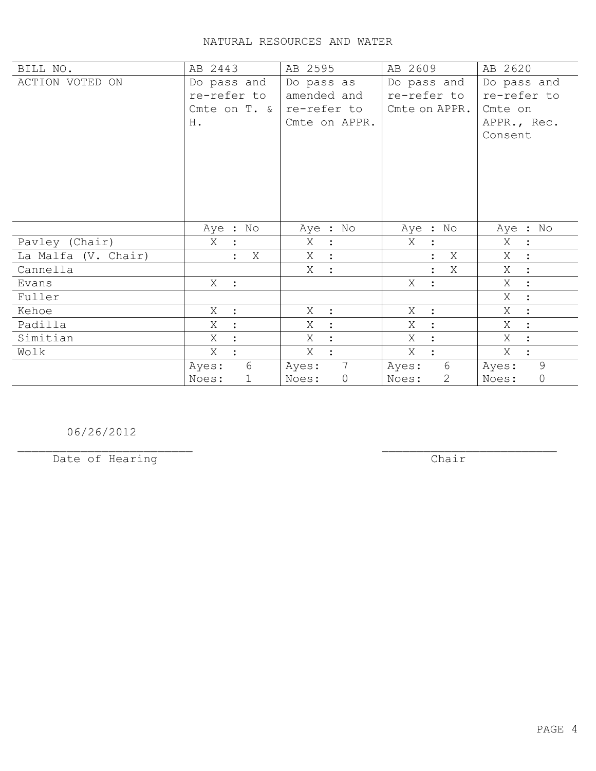| BILL NO.            | AB 2443              | AB 2595                  | AB 2609                 | AB 2620                   |
|---------------------|----------------------|--------------------------|-------------------------|---------------------------|
| ACTION VOTED ON     | Do pass and          | Do pass as               | Do pass and             | Do pass and               |
|                     | re-refer to          | amended and              | re-refer to             | re-refer to               |
|                     | Cmte on T. &         | re-refer to              | Cmte on APPR.           | Cmte on                   |
|                     | Η.                   | Cmte on APPR.            |                         | APPR., Rec.               |
|                     |                      |                          |                         | Consent                   |
|                     |                      |                          |                         |                           |
|                     |                      |                          |                         |                           |
|                     |                      |                          |                         |                           |
|                     |                      |                          |                         |                           |
|                     |                      |                          |                         |                           |
|                     |                      |                          |                         |                           |
|                     | Aye : No             | Aye : No                 | Aye : No                | Aye : No                  |
| Pavley (Chair)      | Χ                    | Χ<br>$\mathbb{R}^2$      | X<br>$\ddot{\cdot}$     | Χ<br>$\ddot{\phantom{1}}$ |
| La Malfa (V. Chair) | X                    | X<br>$\sim$ 1 $^{\circ}$ | Χ                       | Χ<br>$\sim$ 1 $^{\circ}$  |
| Cannella            |                      | X<br>$\mathbb{R}^2$      | Χ<br>$\ddot{\cdot}$     | X<br>$\sim$ 1 $^{\circ}$  |
| Evans               | $X$ :                |                          | X<br>$\ddot{\cdot}$     | X<br>$\ddot{\cdot}$       |
| Fuller              |                      |                          |                         | Χ<br>$\ddot{\cdot}$       |
| Kehoe               | X<br>$\mathbf{r}$    | X<br>$\mathbb{R}^2$      | Χ<br>$\ddot{\cdot}$     | Χ<br>$\ddot{\cdot}$       |
| Padilla             | X                    | Χ<br>$\ddot{\cdot}$      | Χ<br>$\ddot{\cdot}$     | X<br>$\ddot{\cdot}$       |
| Simitian            | X                    | X<br>$\ddot{\cdot}$      | X<br>$\ddot{\cdot}$     | X<br>$\ddot{\cdot}$       |
| Wolk                | Χ                    | Χ<br>$\ddot{\cdot}$      | X<br>$\ddot{\cdot}$     | Χ<br>$\ddot{\cdot}$       |
|                     | 6<br>Ayes:           | $7\overline{ }$<br>Ayes: | 6<br>Ayes:              | 9<br>Ayes:                |
|                     | $\mathbf 1$<br>Noes: | $\circ$<br>Noes:         | $\overline{2}$<br>Noes: | $\mathbb O$<br>Noes:      |

06/26/2012

Date of Hearing

 $\overline{**chair**}$